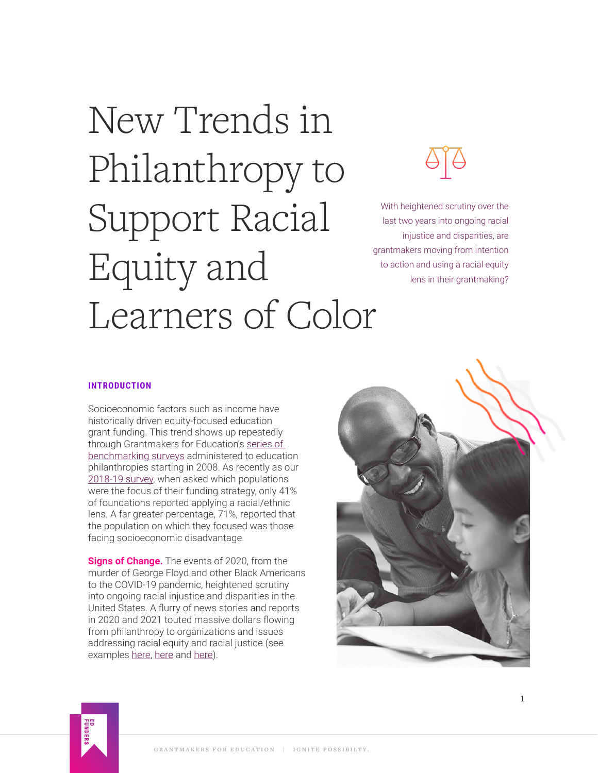# New Trends in Philanthropy to Support Racial Equity and Learners of Color



With heightened scrutiny over the last two years into ongoing racial injustice and disparities, are grantmakers moving from intention to action and using a racial equity lens in their grantmaking?

## **INTRODUCTION**

Socioeconomic factors such as income have historically driven equity-focused education grant funding. This trend shows up repeatedly through Grantmakers for Education's [series of](https://www.edfunders.org/resources/?type=Benchmarking%20Series)  [benchmarking surveys](https://www.edfunders.org/resources/?type=Benchmarking%20Series) administered to education philanthropies starting in 2008. As recently as our [2018-19 survey,](https://www.edfunders.org/wp-content/uploads/2021/12/GFE_Benchmarking_2018-19.pdf) when asked which populations were the focus of their funding strategy, only 41% of foundations reported applying a racial/ethnic lens. A far greater percentage, 71%, reported that the population on which they focused was those facing socioeconomic disadvantage.

**Signs of Change.** The events of 2020, from the murder of George Floyd and other Black Americans to the COVID-19 pandemic, heightened scrutiny into ongoing racial injustice and disparities in the United States. A flurry of news stories and reports in 2020 and 2021 touted massive dollars flowing from philanthropy to organizations and issues addressing racial equity and racial justice (see examples [here](https://www.philanthropy.com/article/kresge-and-hewlett-pour-another-45-million-into-racial-equity), [here](https://www.barrons.com/articles/california-launches-a-100-million-fund-to-support-black-led-organizations-01612566084) and [here\)](https://www.philanthropy.com/article/ford-foundation-announces-180-million-in-new-funding-for-racial-justice).



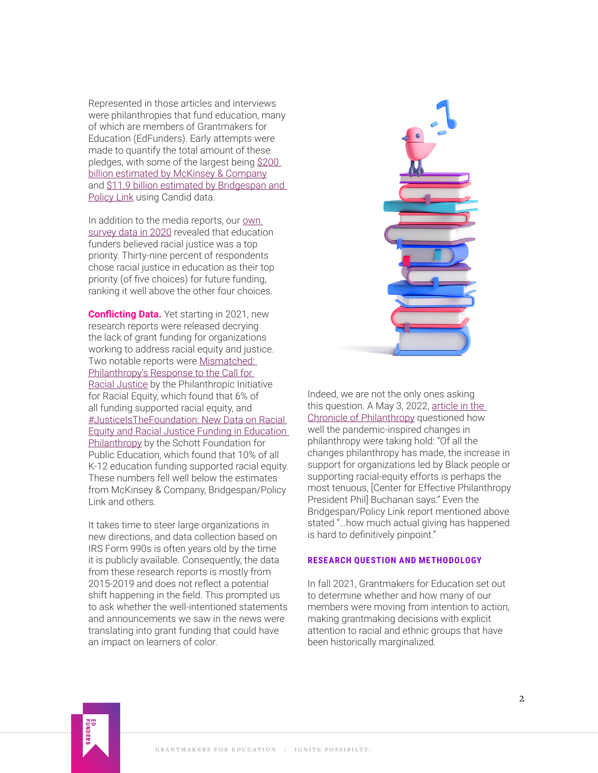Represented in those articles and interviews were philanthropies that fund education, many of which are members of Grantmakers for Education (EdFunders). Early attempts were made to quantify the total amount of these pledges, with some of the largest being [\\$200](https://www.mckinsey.com/featured-insights/diversity-and-inclusion/its-time-for-a-new-approach-to-racial-equity)  [billion estimated by McKinsey & Company](https://www.mckinsey.com/featured-insights/diversity-and-inclusion/its-time-for-a-new-approach-to-racial-equity) and [\\$11.9 billion estimated by Bridgespan and](https://www.bridgespan.org/insights/library/philanthropy/intention-to-impact-funding-racial-equity-to-win)  [Policy Link](https://www.bridgespan.org/insights/library/philanthropy/intention-to-impact-funding-racial-equity-to-win) using Candid data.

In addition to the media reports, our own [survey data in 2020](https://www.edfunders.org/wp-content/uploads/2021/12/TheBigVisionForTheNextStageOfEducationPhilanthropy12-9-2020.pdf) revealed that education funders believed racial justice was a top priority. Thirty-nine percent of respondents chose racial justice in education as their top priority (of five choices) for future funding, ranking it well above the other four choices.

**Conflicting Data.** Yet starting in 2021, new research reports were released decrying the lack of grant funding for organizations working to address racial equity and justice. Two notable reports were [Mismatched:](https://racialequity.org/mismatched/)  [Philanthropy's Response to the Call for](https://racialequity.org/mismatched/)  [Racial Justice](https://racialequity.org/mismatched/) by the Philanthropic Initiative for Racial Equity, which found that 6% of all funding supported racial equity, and [#JusticeIsTheFoundation: New Data on Racial](http://schottfoundation.org/justiceisthefoundation)  [Equity and Racial Justice Funding in Education](http://schottfoundation.org/justiceisthefoundation)  [Philanthropy](http://schottfoundation.org/justiceisthefoundation) by the Schott Foundation for Public Education, which found that 10% of all K-12 education funding supported racial equity. These numbers fell well below the estimates from McKinsey & Company, Bridgespan/Policy Link and others.

It takes time to steer large organizations in new directions, and data collection based on IRS Form 990s is often years old by the time it is publicly available. Consequently, the data from these research reports is mostly from 2015-2019 and does not reflect a potential shift happening in the field. This prompted us to ask whether the well-intentioned statements and announcements we saw in the news were translating into grant funding that could have an impact on learners of color.



Indeed, we are not the only ones asking this question. A May 3, 2022, [article in the](https://www.philanthropy.com/article/are-foundations-doors-opening)  [Chronicle of Philanthropy](https://www.philanthropy.com/article/are-foundations-doors-opening) questioned how well the pandemic-inspired changes in philanthropy were taking hold: "Of all the changes philanthropy has made, the increase in support for organizations led by Black people or supporting racial-equity efforts is perhaps the most tenuous, [Center for Effective Philanthropy President Phil] Buchanan says." Even the Bridgespan/Policy Link report mentioned above stated "…how much actual giving has happened is hard to definitively pinpoint."

#### **RESEARCH QUESTION AND METHODOLOGY**

In fall 2021, Grantmakers for Education set out to determine whether and how many of our members were moving from intention to action, making grantmaking decisions with explicit attention to racial and ethnic groups that have been historically marginalized.

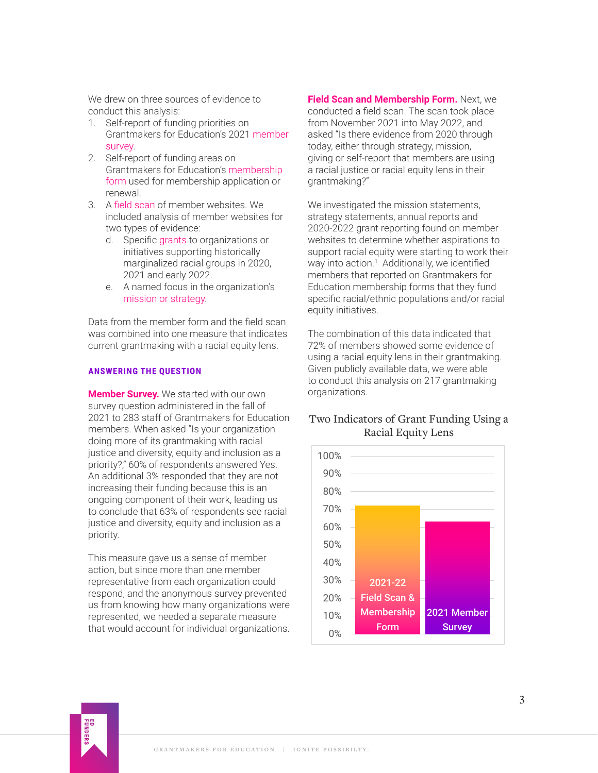<span id="page-2-0"></span>We drew on three sources of evidence to conduct this analysis:

- 1. Self-report of funding priorities on Grantmakers for Education's 2021 member survey.
- 2. Self-report of funding areas on Grantmakers for Education's membership form used for membership application or renewal.
- 3. A field scan of member websites. We included analysis of member websites for two types of evidence:
	- d. Specific grants to organizations or initiatives supporting historically marginalized racial groups in 2020, 2021 and early 2022.
	- e. A named focus in the organization's mission or strategy.

Data from the member form and the field scan was combined into one measure that indicates current grantmaking with a racial equity lens.

## **ANSWERING THE QUESTION**

**Member Survey.** We started with our own survey question administered in the fall of 2021 to 283 staff of Grantmakers for Education members. When asked "Is your organization doing more of its grantmaking with racial justice and diversity, equity and inclusion as a priority?," 60% of respondents answered Yes. An additional 3% responded that they are not increasing their funding because this is an ongoing component of their work, leading us to conclude that 63% of respondents see racial justice and diversity, equity and inclusion as a priority.

This measure gave us a sense of member action, but since more than one member representative from each organization could respond, and the anonymous survey prevented us from knowing how many organizations were represented, we needed a separate measure that would account for individual organizations.

**Field Scan and Membership Form.** Next, we conducted a field scan. The scan took place from November 2021 into May 2022, and asked "Is there evidence from 2020 through today, either through strategy, mission, giving or self-report that members are using a racial justice or racial equity lens in their grantmaking?"

We investigated the mission statements, strategy statements, annual reports and 2020-2022 grant reporting found on member websites to determine whether aspirations to support racial equity were starting to work their way into action.<sup>[1](#page-5-0)</sup> Additionally, we identified members that reported on Grantmakers for Education membership forms that they fund specific racial/ethnic populations and/or racial equity initiatives.

The combination of this data indicated that 72% of members showed some evidence of using a racial equity lens in their grantmaking. Given publicly available data, we were able to conduct this analysis on 217 grantmaking organizations.

# Two Indicators of Grant Funding Using a Racial Equity Lens



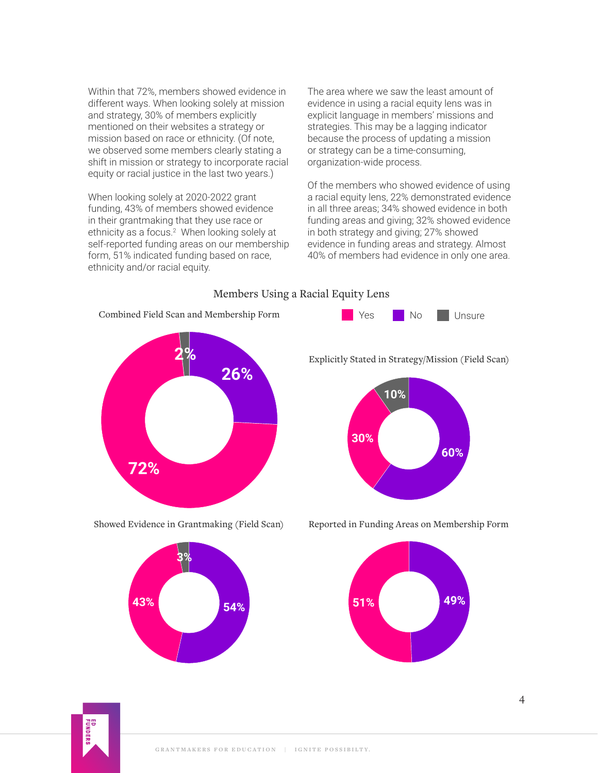<span id="page-3-0"></span>Within that 72%, members showed evidence in different ways. When looking solely at mission and strategy, 30% of members explicitly mentioned on their websites a strategy or mission based on race or ethnicity. (Of note, we observed some members clearly stating a shift in mission or strategy to incorporate racial equity or racial justice in the last two years.)

When looking solely at 2020-2022 grant funding, 43% of members showed evidence in their grantmaking that they use race or ethnicity as a focus.<sup>2</sup> When looking solely at self-reported funding areas on our membership form, 51% indicated funding based on race, ethnicity and/or racial equity.

The area where we saw the least amount of evidence in using a racial equity lens was in explicit language in members' missions and strategies. This may be a lagging indicator because the process of updating a mission or strategy can be a time-consuming, organization-wide process.

Of the members who showed evidence of using a racial equity lens, 22% demonstrated evidence in all three areas; 34% showed evidence in both funding areas and giving; 32% showed evidence in both strategy and giving; 27% showed evidence in funding areas and strategy. Almost 40% of members had evidence in only one area.



Showed Evidence in Grantmaking (Field Scan) Reported in Funding Areas on Membership Form







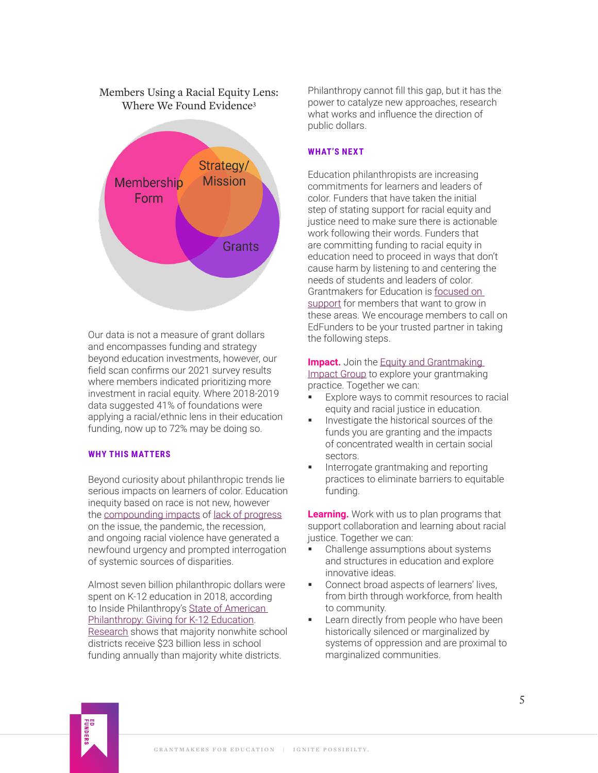# <span id="page-4-0"></span>Members Using a Racial Equity Lens: Where We Found Evidence<sup>3</sup>



Our data is not a measure of grant dollars and encompasses funding and strategy beyond education investments, however, our field scan confirms our 2021 survey results where members indicated prioritizing more investment in racial equity. Where 2018-2019 data suggested 41% of foundations were applying a racial/ethnic lens in their education funding, now up to 72% may be doing so.

### **WHY THIS MATTERS**

Beyond curiosity about philanthropic trends lie serious impacts on learners of color. Education inequity based on race is not new, however the [compounding impacts](https://www.tc.columbia.edu/articles/2021/july/new-research-shows-impact-of-covid--systemic-racism-on-black-students/) of [lack of progress](https://learningpolicyinstitute.org/blog/fifty-years-after-kerner-nation-still-separate-and-unequal) on the issue, the pandemic, the recession, and ongoing racial violence have generated a newfound urgency and prompted interrogation of systemic sources of disparities.

Almost seven billion philanthropic dollars were spent on K-12 education in 2018, according to Inside Philanthropy's State of American [Philanthropy: Giving for K-12 Education.](https://www.insidephilanthropy.com/state-of-american-philanthropy-pdfs/giving-for-k-12-education) [Research](https://edbuild.org/content/23-billion) shows that majority nonwhite school districts receive \$23 billion less in school funding annually than majority white districts.

Philanthropy cannot fill this gap, but it has the power to catalyze new approaches, research what works and influence the direction of public dollars.

## **WHAT'S NEXT**

Education philanthropists are increasing commitments for learners and leaders of color. Funders that have taken the initial step of stating support for racial equity and justice need to make sure there is actionable work following their words. Funders that are committing funding to racial equity in education need to proceed in ways that don't cause harm by listening to and centering the needs of students and leaders of color. Grantmakers for Education is [focused on](https://www.edfunders.org/about/)  [support](https://www.edfunders.org/about/) for members that want to grow in these areas. We encourage members to call on EdFunders to be your trusted partner in taking the following steps.

## **Impact.** Join the Equity and Grantmaking

[Impact Group](https://www.edfunders.org/impact-groups-equity-grantmaking/) to explore your grantmaking practice. Together we can:

- Explore ways to commit resources to racial equity and racial justice in education.
- Investigate the historical sources of the funds you are granting and the impacts of concentrated wealth in certain social sectors.
- Interrogate grantmaking and reporting practices to eliminate barriers to equitable funding.

**Learning.** Work with us to plan programs that support collaboration and learning about racial justice. Together we can:

- Challenge assumptions about systems and structures in education and explore innovative ideas.
- **Connect broad aspects of learners' lives,** from birth through workforce, from health to community.
- **Learn directly from people who have been** historically silenced or marginalized by systems of oppression and are proximal to marginalized communities.